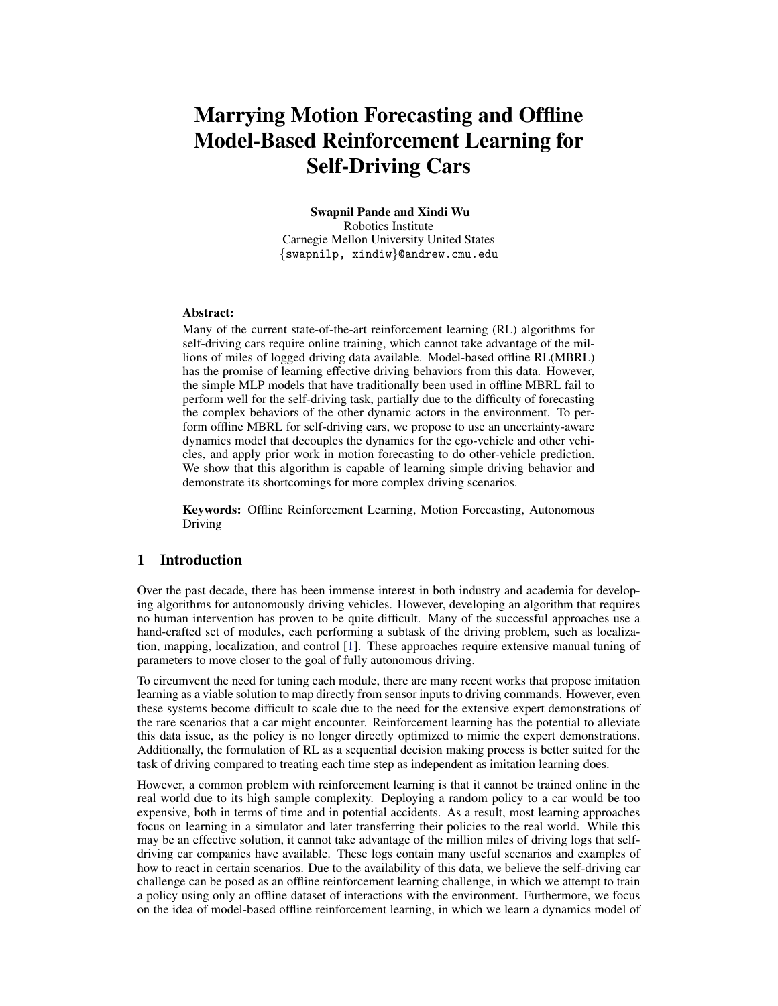# Marrying Motion Forecasting and Offline Model-Based Reinforcement Learning for Self-Driving Cars

Swapnil Pande and Xindi Wu Robotics Institute Carnegie Mellon University United States {swapnilp, xindiw}@andrew.cmu.edu

# Abstract:

Many of the current state-of-the-art reinforcement learning (RL) algorithms for self-driving cars require online training, which cannot take advantage of the millions of miles of logged driving data available. Model-based offline RL(MBRL) has the promise of learning effective driving behaviors from this data. However, the simple MLP models that have traditionally been used in offline MBRL fail to perform well for the self-driving task, partially due to the difficulty of forecasting the complex behaviors of the other dynamic actors in the environment. To perform offline MBRL for self-driving cars, we propose to use an uncertainty-aware dynamics model that decouples the dynamics for the ego-vehicle and other vehicles, and apply prior work in motion forecasting to do other-vehicle prediction. We show that this algorithm is capable of learning simple driving behavior and demonstrate its shortcomings for more complex driving scenarios.

Keywords: Offline Reinforcement Learning, Motion Forecasting, Autonomous Driving

## 1 Introduction

Over the past decade, there has been immense interest in both industry and academia for developing algorithms for autonomously driving vehicles. However, developing an algorithm that requires no human intervention has proven to be quite difficult. Many of the successful approaches use a hand-crafted set of modules, each performing a subtask of the driving problem, such as localization, mapping, localization, and control [\[1\]](#page-8-0). These approaches require extensive manual tuning of parameters to move closer to the goal of fully autonomous driving.

To circumvent the need for tuning each module, there are many recent works that propose imitation learning as a viable solution to map directly from sensor inputs to driving commands. However, even these systems become difficult to scale due to the need for the extensive expert demonstrations of the rare scenarios that a car might encounter. Reinforcement learning has the potential to alleviate this data issue, as the policy is no longer directly optimized to mimic the expert demonstrations. Additionally, the formulation of RL as a sequential decision making process is better suited for the task of driving compared to treating each time step as independent as imitation learning does.

However, a common problem with reinforcement learning is that it cannot be trained online in the real world due to its high sample complexity. Deploying a random policy to a car would be too expensive, both in terms of time and in potential accidents. As a result, most learning approaches focus on learning in a simulator and later transferring their policies to the real world. While this may be an effective solution, it cannot take advantage of the million miles of driving logs that selfdriving car companies have available. These logs contain many useful scenarios and examples of how to react in certain scenarios. Due to the availability of this data, we believe the self-driving car challenge can be posed as an offline reinforcement learning challenge, in which we attempt to train a policy using only an offline dataset of interactions with the environment. Furthermore, we focus on the idea of model-based offline reinforcement learning, in which we learn a dynamics model of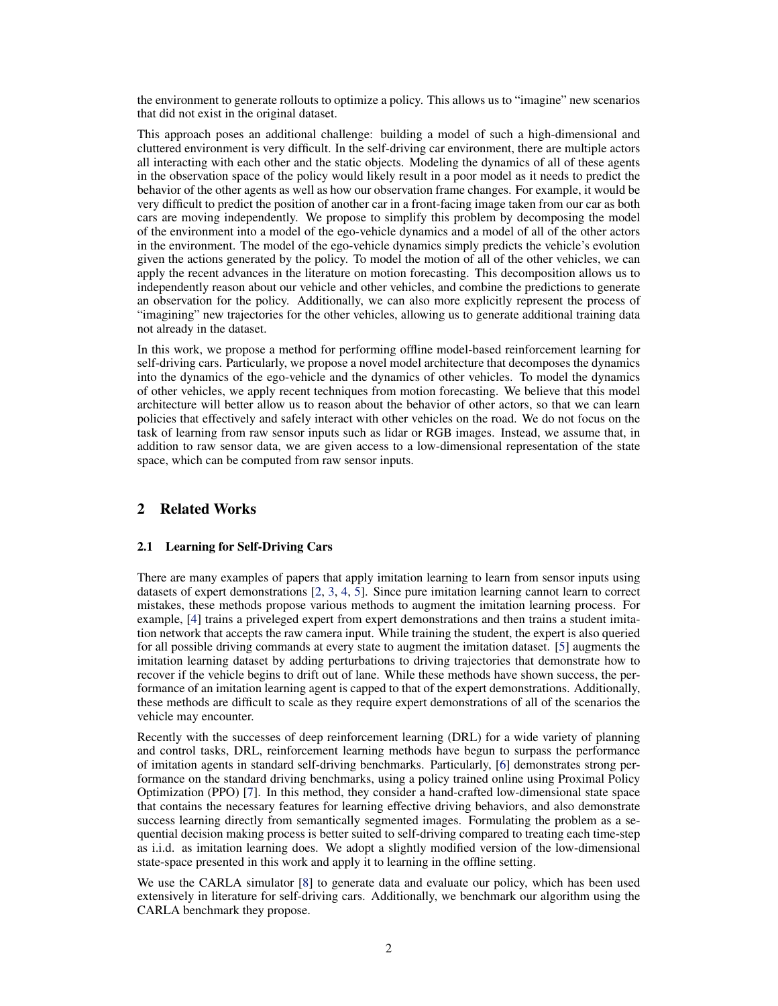the environment to generate rollouts to optimize a policy. This allows us to "imagine" new scenarios that did not exist in the original dataset.

This approach poses an additional challenge: building a model of such a high-dimensional and cluttered environment is very difficult. In the self-driving car environment, there are multiple actors all interacting with each other and the static objects. Modeling the dynamics of all of these agents in the observation space of the policy would likely result in a poor model as it needs to predict the behavior of the other agents as well as how our observation frame changes. For example, it would be very difficult to predict the position of another car in a front-facing image taken from our car as both cars are moving independently. We propose to simplify this problem by decomposing the model of the environment into a model of the ego-vehicle dynamics and a model of all of the other actors in the environment. The model of the ego-vehicle dynamics simply predicts the vehicle's evolution given the actions generated by the policy. To model the motion of all of the other vehicles, we can apply the recent advances in the literature on motion forecasting. This decomposition allows us to independently reason about our vehicle and other vehicles, and combine the predictions to generate an observation for the policy. Additionally, we can also more explicitly represent the process of "imagining" new trajectories for the other vehicles, allowing us to generate additional training data not already in the dataset.

In this work, we propose a method for performing offline model-based reinforcement learning for self-driving cars. Particularly, we propose a novel model architecture that decomposes the dynamics into the dynamics of the ego-vehicle and the dynamics of other vehicles. To model the dynamics of other vehicles, we apply recent techniques from motion forecasting. We believe that this model architecture will better allow us to reason about the behavior of other actors, so that we can learn policies that effectively and safely interact with other vehicles on the road. We do not focus on the task of learning from raw sensor inputs such as lidar or RGB images. Instead, we assume that, in addition to raw sensor data, we are given access to a low-dimensional representation of the state space, which can be computed from raw sensor inputs.

# 2 Related Works

#### 2.1 Learning for Self-Driving Cars

There are many examples of papers that apply imitation learning to learn from sensor inputs using datasets of expert demonstrations [\[2,](#page-8-0) [3,](#page-8-0) [4,](#page-8-0) [5\]](#page-8-0). Since pure imitation learning cannot learn to correct mistakes, these methods propose various methods to augment the imitation learning process. For example, [\[4\]](#page-8-0) trains a priveleged expert from expert demonstrations and then trains a student imitation network that accepts the raw camera input. While training the student, the expert is also queried for all possible driving commands at every state to augment the imitation dataset. [\[5\]](#page-8-0) augments the imitation learning dataset by adding perturbations to driving trajectories that demonstrate how to recover if the vehicle begins to drift out of lane. While these methods have shown success, the performance of an imitation learning agent is capped to that of the expert demonstrations. Additionally, these methods are difficult to scale as they require expert demonstrations of all of the scenarios the vehicle may encounter.

Recently with the successes of deep reinforcement learning (DRL) for a wide variety of planning and control tasks, DRL, reinforcement learning methods have begun to surpass the performance of imitation agents in standard self-driving benchmarks. Particularly, [\[6\]](#page-8-0) demonstrates strong performance on the standard driving benchmarks, using a policy trained online using Proximal Policy Optimization (PPO) [\[7\]](#page-8-0). In this method, they consider a hand-crafted low-dimensional state space that contains the necessary features for learning effective driving behaviors, and also demonstrate success learning directly from semantically segmented images. Formulating the problem as a sequential decision making process is better suited to self-driving compared to treating each time-step as i.i.d. as imitation learning does. We adopt a slightly modified version of the low-dimensional state-space presented in this work and apply it to learning in the offline setting.

We use the CARLA simulator [\[8\]](#page-8-0) to generate data and evaluate our policy, which has been used extensively in literature for self-driving cars. Additionally, we benchmark our algorithm using the CARLA benchmark they propose.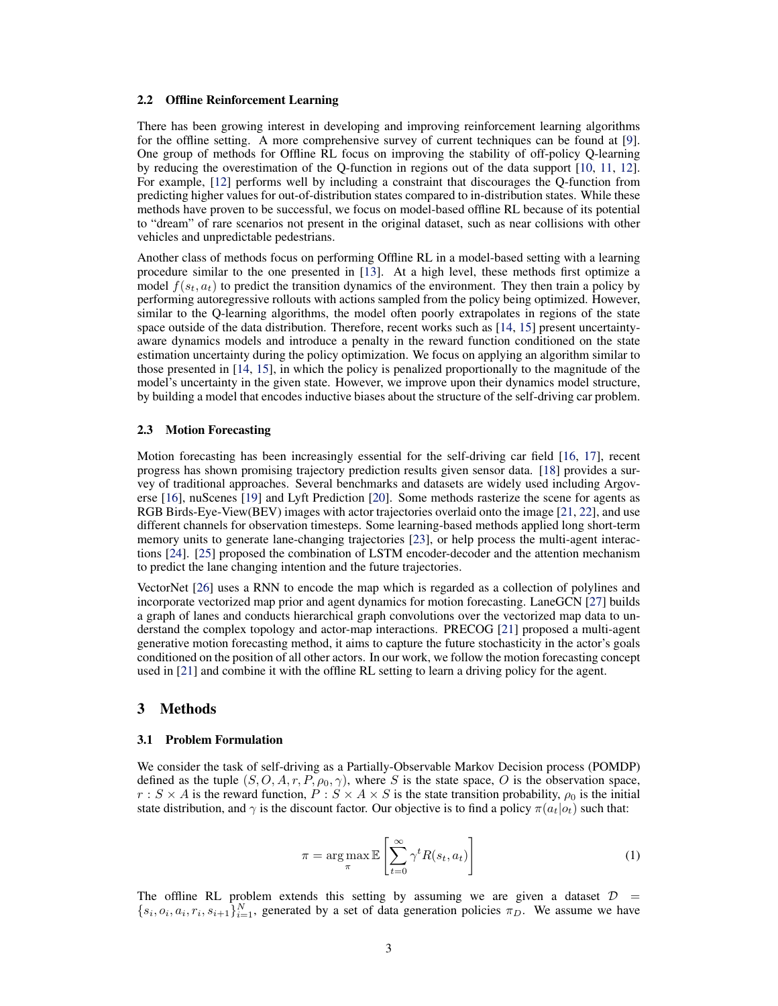#### <span id="page-2-0"></span>2.2 Offline Reinforcement Learning

There has been growing interest in developing and improving reinforcement learning algorithms for the offline setting. A more comprehensive survey of current techniques can be found at [\[9\]](#page-8-0). One group of methods for Offline RL focus on improving the stability of off-policy Q-learning by reducing the overestimation of the Q-function in regions out of the data support [\[10,](#page-8-0) [11,](#page-8-0) [12\]](#page-8-0). For example, [\[12\]](#page-8-0) performs well by including a constraint that discourages the Q-function from predicting higher values for out-of-distribution states compared to in-distribution states. While these methods have proven to be successful, we focus on model-based offline RL because of its potential to "dream" of rare scenarios not present in the original dataset, such as near collisions with other vehicles and unpredictable pedestrians.

Another class of methods focus on performing Offline RL in a model-based setting with a learning procedure similar to the one presented in [\[13\]](#page-8-0). At a high level, these methods first optimize a model  $f(s_t, a_t)$  to predict the transition dynamics of the environment. They then train a policy by performing autoregressive rollouts with actions sampled from the policy being optimized. However, similar to the Q-learning algorithms, the model often poorly extrapolates in regions of the state space outside of the data distribution. Therefore, recent works such as [\[14,](#page-8-0) [15\]](#page-8-0) present uncertaintyaware dynamics models and introduce a penalty in the reward function conditioned on the state estimation uncertainty during the policy optimization. We focus on applying an algorithm similar to those presented in [\[14,](#page-8-0) [15\]](#page-8-0), in which the policy is penalized proportionally to the magnitude of the model's uncertainty in the given state. However, we improve upon their dynamics model structure, by building a model that encodes inductive biases about the structure of the self-driving car problem.

#### 2.3 Motion Forecasting

Motion forecasting has been increasingly essential for the self-driving car field [\[16,](#page-8-0) [17\]](#page-8-0), recent progress has shown promising trajectory prediction results given sensor data. [\[18\]](#page-8-0) provides a survey of traditional approaches. Several benchmarks and datasets are widely used including Argoverse [\[16\]](#page-8-0), nuScenes [\[19\]](#page-8-0) and Lyft Prediction [\[20\]](#page-8-0). Some methods rasterize the scene for agents as RGB Birds-Eye-View(BEV) images with actor trajectories overlaid onto the image [\[21,](#page-9-0) [22\]](#page-9-0), and use different channels for observation timesteps. Some learning-based methods applied long short-term memory units to generate lane-changing trajectories [\[23\]](#page-9-0), or help process the multi-agent interactions [\[24\]](#page-9-0). [\[25\]](#page-9-0) proposed the combination of LSTM encoder-decoder and the attention mechanism to predict the lane changing intention and the future trajectories.

VectorNet [\[26\]](#page-9-0) uses a RNN to encode the map which is regarded as a collection of polylines and incorporate vectorized map prior and agent dynamics for motion forecasting. LaneGCN [\[27\]](#page-9-0) builds a graph of lanes and conducts hierarchical graph convolutions over the vectorized map data to understand the complex topology and actor-map interactions. PRECOG [\[21\]](#page-9-0) proposed a multi-agent generative motion forecasting method, it aims to capture the future stochasticity in the actor's goals conditioned on the position of all other actors. In our work, we follow the motion forecasting concept used in [\[21\]](#page-9-0) and combine it with the offline RL setting to learn a driving policy for the agent.

## 3 Methods

#### 3.1 Problem Formulation

We consider the task of self-driving as a Partially-Observable Markov Decision process (POMDP) defined as the tuple  $(S, O, A, r, P, \rho_0, \gamma)$ , where S is the state space, O is the observation space,  $r : S \times A$  is the reward function,  $P : S \times A \times S$  is the state transition probability,  $\rho_0$  is the initial state distribution, and  $\gamma$  is the discount factor. Our objective is to find a policy  $\pi(a_t|o_t)$  such that:

$$
\pi = \arg \max_{\pi} \mathbb{E} \left[ \sum_{t=0}^{\infty} \gamma^t R(s_t, a_t) \right]
$$
 (1)

The offline RL problem extends this setting by assuming we are given a dataset  $D =$  ${s_i, o_i, a_i, r_i, s_{i+1}}_{i=1}^N$ , generated by a set of data generation policies  $\pi_D$ . We assume we have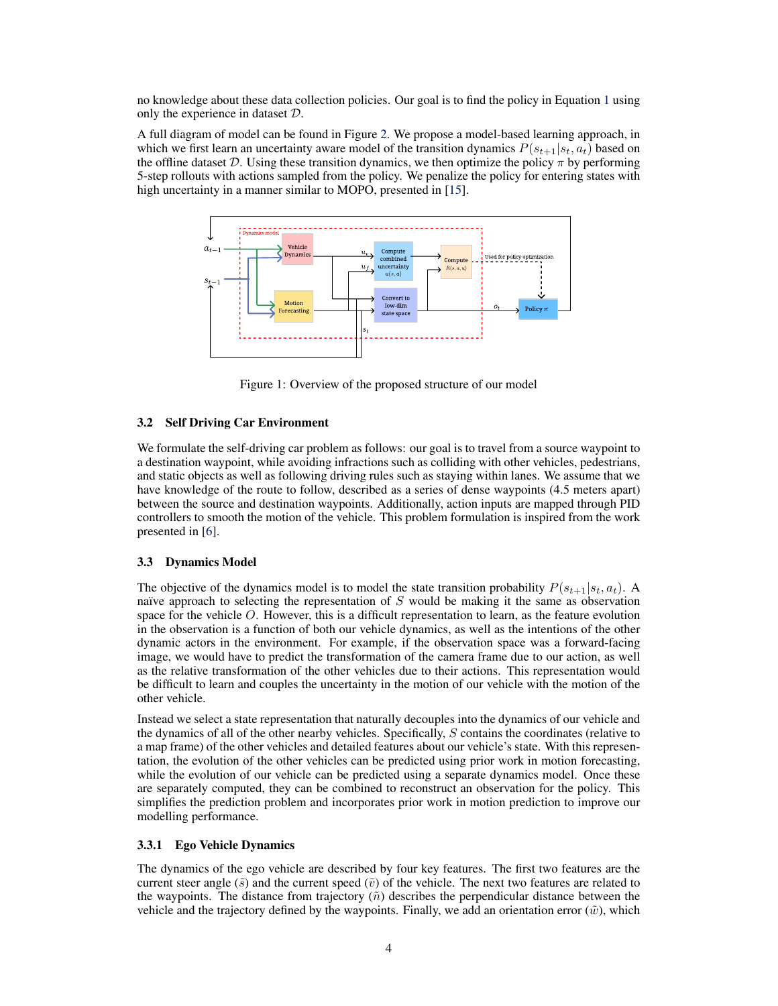no knowledge about these data collection policies. Our goal is to find the policy in Equation [1](#page-2-0) using only the experience in dataset D.

A full diagram of model can be found in Figure [2.](#page-4-0) We propose a model-based learning approach, in which we first learn an uncertainty aware model of the transition dynamics  $P(s_{t+1}|s_t, a_t)$  based on the offline dataset D. Using these transition dynamics, we then optimize the policy  $\pi$  by performing 5-step rollouts with actions sampled from the policy. We penalize the policy for entering states with high uncertainty in a manner similar to MOPO, presented in [\[15\]](#page-8-0).



Figure 1: Overview of the proposed structure of our model

#### 3.2 Self Driving Car Environment

We formulate the self-driving car problem as follows: our goal is to travel from a source waypoint to a destination waypoint, while avoiding infractions such as colliding with other vehicles, pedestrians, and static objects as well as following driving rules such as staying within lanes. We assume that we have knowledge of the route to follow, described as a series of dense waypoints (4.5 meters apart) between the source and destination waypoints. Additionally, action inputs are mapped through PID controllers to smooth the motion of the vehicle. This problem formulation is inspired from the work presented in [\[6\]](#page-8-0).

#### 3.3 Dynamics Model

The objective of the dynamics model is to model the state transition probability  $P(s_{t+1}|s_t, a_t)$ . A naïve approach to selecting the representation of  $S$  would be making it the same as observation space for the vehicle  $O$ . However, this is a difficult representation to learn, as the feature evolution in the observation is a function of both our vehicle dynamics, as well as the intentions of the other dynamic actors in the environment. For example, if the observation space was a forward-facing image, we would have to predict the transformation of the camera frame due to our action, as well as the relative transformation of the other vehicles due to their actions. This representation would be difficult to learn and couples the uncertainty in the motion of our vehicle with the motion of the other vehicle.

Instead we select a state representation that naturally decouples into the dynamics of our vehicle and the dynamics of all of the other nearby vehicles. Specifically, S contains the coordinates (relative to a map frame) of the other vehicles and detailed features about our vehicle's state. With this representation, the evolution of the other vehicles can be predicted using prior work in motion forecasting, while the evolution of our vehicle can be predicted using a separate dynamics model. Once these are separately computed, they can be combined to reconstruct an observation for the policy. This simplifies the prediction problem and incorporates prior work in motion prediction to improve our modelling performance.

#### 3.3.1 Ego Vehicle Dynamics

The dynamics of the ego vehicle are described by four key features. The first two features are the current steer angle  $(\tilde{s})$  and the current speed  $(\tilde{v})$  of the vehicle. The next two features are related to the waypoints. The distance from trajectory  $(\tilde{n})$  describes the perpendicular distance between the vehicle and the trajectory defined by the waypoints. Finally, we add an orientation error  $(\tilde{w})$ , which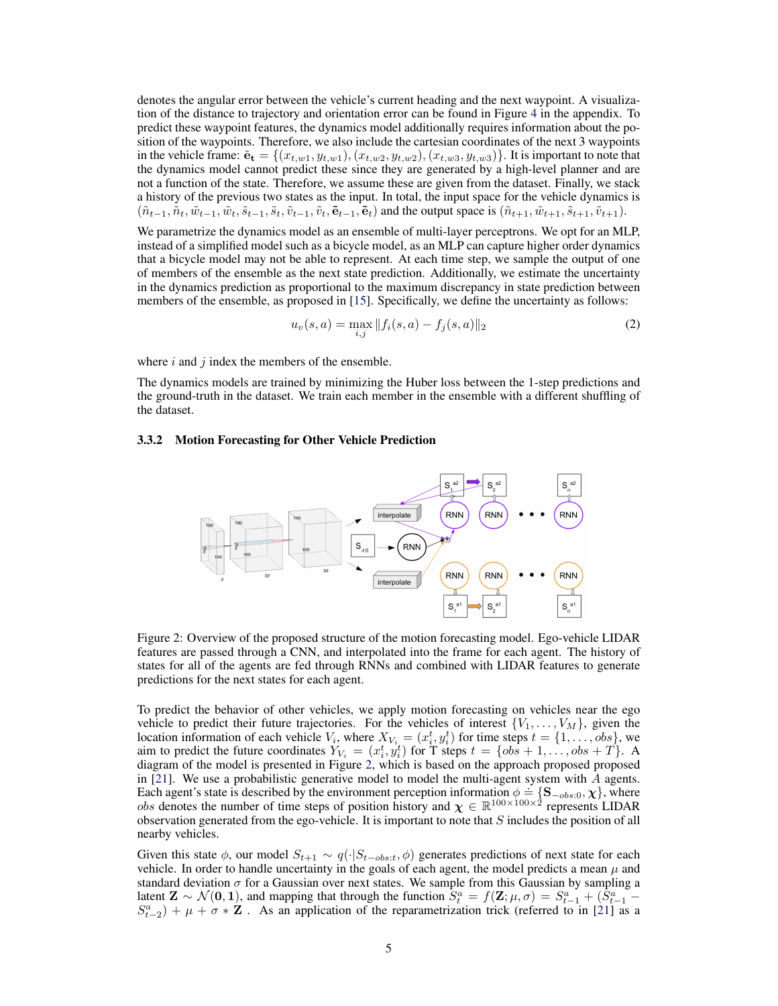<span id="page-4-0"></span>denotes the angular error between the vehicle's current heading and the next waypoint. A visualization of the distance to trajectory and orientation error can be found in Figure [4](#page-10-0) in the appendix. To predict these waypoint features, the dynamics model additionally requires information about the position of the waypoints. Therefore, we also include the cartesian coordinates of the next 3 waypoints in the vehicle frame:  $\tilde{\mathbf{e}}_{\mathbf{t}} = \{(x_{t,w1}, y_{t,w1}), (x_{t,w2}, y_{t,w2}), (x_{t,w3}, y_{t,w3})\}$ . It is important to note that the dynamics model cannot predict these since they are generated by a high-level planner and are not a function of the state. Therefore, we assume these are given from the dataset. Finally, we stack a history of the previous two states as the input. In total, the input space for the vehicle dynamics is  $(\tilde{n}_{t-1}, \tilde{n}_t, \tilde{w}_{t-1}, \tilde{w}_t, \tilde{s}_{t-1}, \tilde{s}_t, \tilde{v}_{t-1}, \tilde{v}_t, \tilde{\mathbf{e}}_{t-1}, \tilde{\mathbf{e}}_t)$  and the output space is  $(\tilde{n}_{t+1}, \tilde{w}_{t+1}, \tilde{s}_{t+1}, \tilde{v}_{t+1}).$ 

We parametrize the dynamics model as an ensemble of multi-layer perceptrons. We opt for an MLP, instead of a simplified model such as a bicycle model, as an MLP can capture higher order dynamics that a bicycle model may not be able to represent. At each time step, we sample the output of one of members of the ensemble as the next state prediction. Additionally, we estimate the uncertainty in the dynamics prediction as proportional to the maximum discrepancy in state prediction between members of the ensemble, as proposed in [\[15\]](#page-8-0). Specifically, we define the uncertainty as follows:

$$
u_v(s, a) = \max_{i,j} \|f_i(s, a) - f_j(s, a)\|_2
$$
\n(2)

where  $i$  and  $j$  index the members of the ensemble.

The dynamics models are trained by minimizing the Huber loss between the 1-step predictions and the ground-truth in the dataset. We train each member in the ensemble with a different shuffling of the dataset.

#### 3.3.2 Motion Forecasting for Other Vehicle Prediction



Figure 2: Overview of the proposed structure of the motion forecasting model. Ego-vehicle LIDAR features are passed through a CNN, and interpolated into the frame for each agent. The history of states for all of the agents are fed through RNNs and combined with LIDAR features to generate predictions for the next states for each agent.

To predict the behavior of other vehicles, we apply motion forecasting on vehicles near the ego vehicle to predict their future trajectories. For the vehicles of interest  $\{V_1, \ldots, V_M\}$ , given the location information of each vehicle  $V_i$ , where  $X_{V_i} = (x_i^t, y_i^t)$  for time steps  $t = \{1, \ldots, obs\}$ , we aim to predict the future coordinates  $Y_{V_i} = (x_i^t, y_i^t)$  for T steps  $t = \{obs + 1, ..., obs + T\}$ . A diagram of the model is presented in Figure 2, which is based on the approach proposed proposed in  $[21]$ . We use a probabilistic generative model to model the multi-agent system with  $A$  agents. Each agent's state is described by the environment perception information  $\phi = \{S_{-obs:0}, \chi\}$ , where *obs* denotes the number of time steps of position history and  $\chi \in \mathbb{R}^{100 \times 100 \times 2}$  represents LIDAR observation generated from the ego-vehicle. It is important to note that  $S$  includes the position of all nearby vehicles.

Given this state  $\phi$ , our model  $S_{t+1} \sim q(\cdot|S_{t-obs:t}, \phi)$  generates predictions of next state for each vehicle. In order to handle uncertainty in the goals of each agent, the model predicts a mean  $\mu$  and standard deviation  $\sigma$  for a Gaussian over next states. We sample from this Gaussian by sampling a latent  $\mathbf{Z} \sim \mathcal{N}(\mathbf{0}, \mathbf{1})$ , and mapping that through the function  $\hat{S}_t^a = f(\mathbf{Z}; \mu, \sigma) = S_{t-1}^a + (\hat{S}_{t-1}^a - \sigma)$  $S_{t-2}^a$ ) +  $\mu$  +  $\sigma$  \* Z. As an application of the reparametrization trick (referred to in [\[21\]](#page-9-0) as a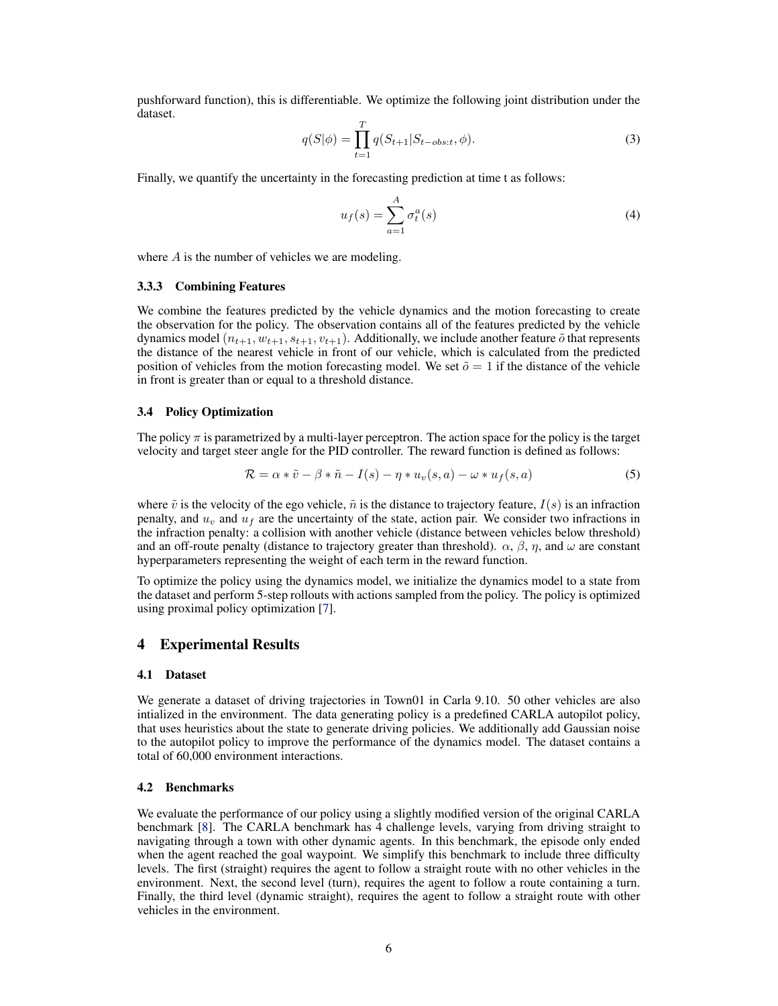pushforward function), this is differentiable. We optimize the following joint distribution under the dataset.

$$
q(S|\phi) = \prod_{t=1}^{T} q(S_{t+1}|S_{t-obs:t}, \phi).
$$
 (3)

Finally, we quantify the uncertainty in the forecasting prediction at time t as follows:

$$
u_f(s) = \sum_{a=1}^{A} \sigma_t^a(s)
$$
\n<sup>(4)</sup>

where  $A$  is the number of vehicles we are modeling.

#### 3.3.3 Combining Features

We combine the features predicted by the vehicle dynamics and the motion forecasting to create the observation for the policy. The observation contains all of the features predicted by the vehicle dynamics model  $(n_{t+1}, w_{t+1}, s_{t+1}, v_{t+1})$ . Additionally, we include another feature  $\tilde{o}$  that represents the distance of the nearest vehicle in front of our vehicle, which is calculated from the predicted position of vehicles from the motion forecasting model. We set  $\tilde{o} = 1$  if the distance of the vehicle in front is greater than or equal to a threshold distance.

#### 3.4 Policy Optimization

The policy  $\pi$  is parametrized by a multi-layer perceptron. The action space for the policy is the target velocity and target steer angle for the PID controller. The reward function is defined as follows:

$$
\mathcal{R} = \alpha * \tilde{v} - \beta * \tilde{n} - I(s) - \eta * u_v(s, a) - \omega * u_f(s, a)
$$
\n<sup>(5)</sup>

where  $\tilde{v}$  is the velocity of the ego vehicle,  $\tilde{n}$  is the distance to trajectory feature,  $I(s)$  is an infraction penalty, and  $u<sub>t</sub>$  and  $u<sub>f</sub>$  are the uncertainty of the state, action pair. We consider two infractions in the infraction penalty: a collision with another vehicle (distance between vehicles below threshold) and an off-route penalty (distance to trajectory greater than threshold).  $\alpha$ ,  $\beta$ ,  $\eta$ , and  $\omega$  are constant hyperparameters representing the weight of each term in the reward function.

To optimize the policy using the dynamics model, we initialize the dynamics model to a state from the dataset and perform 5-step rollouts with actions sampled from the policy. The policy is optimized using proximal policy optimization [\[7\]](#page-8-0).

# 4 Experimental Results

#### 4.1 Dataset

We generate a dataset of driving trajectories in Town01 in Carla 9.10. 50 other vehicles are also intialized in the environment. The data generating policy is a predefined CARLA autopilot policy, that uses heuristics about the state to generate driving policies. We additionally add Gaussian noise to the autopilot policy to improve the performance of the dynamics model. The dataset contains a total of 60,000 environment interactions.

#### 4.2 Benchmarks

We evaluate the performance of our policy using a slightly modified version of the original CARLA benchmark [\[8\]](#page-8-0). The CARLA benchmark has 4 challenge levels, varying from driving straight to navigating through a town with other dynamic agents. In this benchmark, the episode only ended when the agent reached the goal waypoint. We simplify this benchmark to include three difficulty levels. The first (straight) requires the agent to follow a straight route with no other vehicles in the environment. Next, the second level (turn), requires the agent to follow a route containing a turn. Finally, the third level (dynamic straight), requires the agent to follow a straight route with other vehicles in the environment.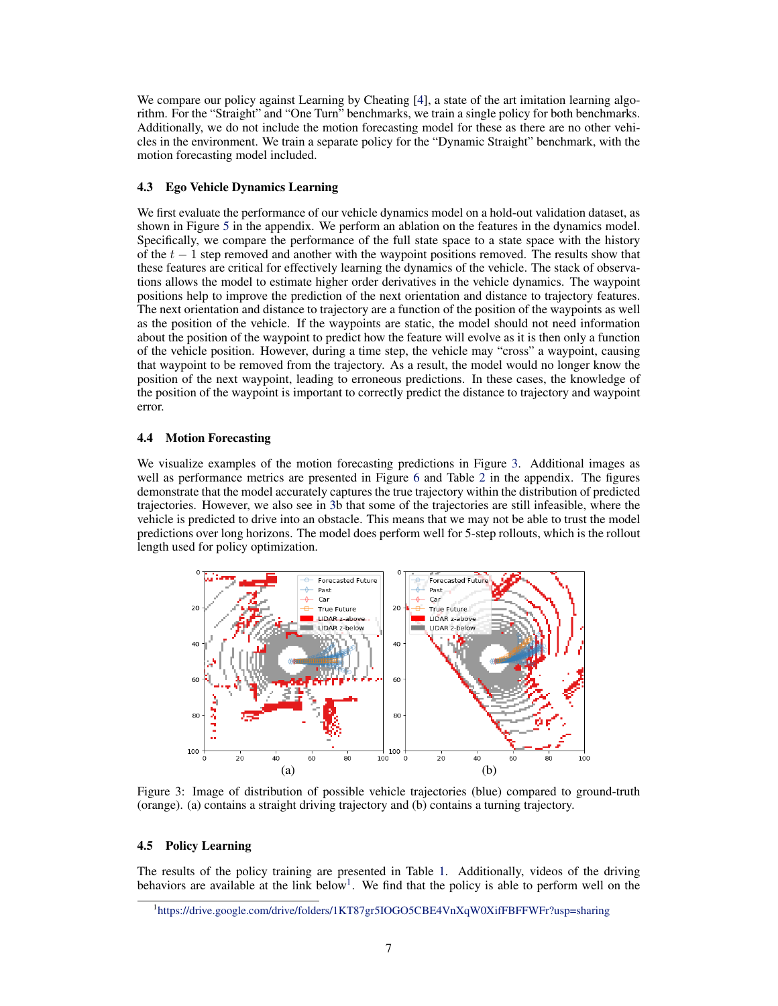We compare our policy against Learning by Cheating [\[4\]](#page-8-0), a state of the art imitation learning algorithm. For the "Straight" and "One Turn" benchmarks, we train a single policy for both benchmarks. Additionally, we do not include the motion forecasting model for these as there are no other vehicles in the environment. We train a separate policy for the "Dynamic Straight" benchmark, with the motion forecasting model included.

#### 4.3 Ego Vehicle Dynamics Learning

We first evaluate the performance of our vehicle dynamics model on a hold-out validation dataset, as shown in Figure [5](#page-10-0) in the appendix. We perform an ablation on the features in the dynamics model. Specifically, we compare the performance of the full state space to a state space with the history of the  $t - 1$  step removed and another with the waypoint positions removed. The results show that these features are critical for effectively learning the dynamics of the vehicle. The stack of observations allows the model to estimate higher order derivatives in the vehicle dynamics. The waypoint positions help to improve the prediction of the next orientation and distance to trajectory features. The next orientation and distance to trajectory are a function of the position of the waypoints as well as the position of the vehicle. If the waypoints are static, the model should not need information about the position of the waypoint to predict how the feature will evolve as it is then only a function of the vehicle position. However, during a time step, the vehicle may "cross" a waypoint, causing that waypoint to be removed from the trajectory. As a result, the model would no longer know the position of the next waypoint, leading to erroneous predictions. In these cases, the knowledge of the position of the waypoint is important to correctly predict the distance to trajectory and waypoint error.

#### 4.4 Motion Forecasting

We visualize examples of the motion forecasting predictions in Figure 3. Additional images as well as performance metrics are presented in Figure [6](#page-11-0) and Table [2](#page-10-0) in the appendix. The figures demonstrate that the model accurately captures the true trajectory within the distribution of predicted trajectories. However, we also see in 3b that some of the trajectories are still infeasible, where the vehicle is predicted to drive into an obstacle. This means that we may not be able to trust the model predictions over long horizons. The model does perform well for 5-step rollouts, which is the rollout length used for policy optimization.



Figure 3: Image of distribution of possible vehicle trajectories (blue) compared to ground-truth (orange). (a) contains a straight driving trajectory and (b) contains a turning trajectory.

# 4.5 Policy Learning

The results of the policy training are presented in Table [1.](#page-7-0) Additionally, videos of the driving behaviors are available at the link below<sup>1</sup>. We find that the policy is able to perform well on the

<sup>&</sup>lt;sup>1</sup><https://drive.google.com/drive/folders/1KT87gr5IOGO5CBE4VnXqW0XifFBFFWFr?usp=sharing>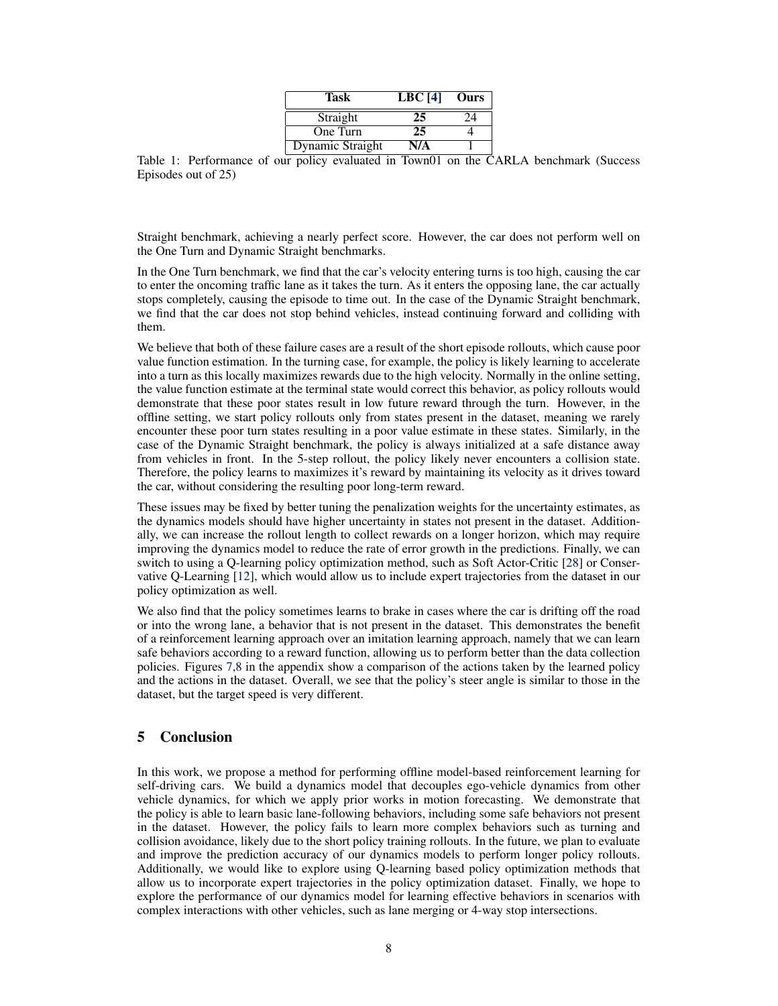| Task             | LBC $[4]$ | <b>Ours</b> |
|------------------|-----------|-------------|
| Straight         | 25        | 24          |
| One Turn         | 25        |             |
| Dynamic Straight | N/A       |             |

<span id="page-7-0"></span>Table 1: Performance of our policy evaluated in Town01 on the CARLA benchmark (Success Episodes out of 25)

Straight benchmark, achieving a nearly perfect score. However, the car does not perform well on the One Turn and Dynamic Straight benchmarks.

In the One Turn benchmark, we find that the car's velocity entering turns is too high, causing the car to enter the oncoming traffic lane as it takes the turn. As it enters the opposing lane, the car actually stops completely, causing the episode to time out. In the case of the Dynamic Straight benchmark, we find that the car does not stop behind vehicles, instead continuing forward and colliding with them.

We believe that both of these failure cases are a result of the short episode rollouts, which cause poor value function estimation. In the turning case, for example, the policy is likely learning to accelerate into a turn as this locally maximizes rewards due to the high velocity. Normally in the online setting, the value function estimate at the terminal state would correct this behavior, as policy rollouts would demonstrate that these poor states result in low future reward through the turn. However, in the offline setting, we start policy rollouts only from states present in the dataset, meaning we rarely encounter these poor turn states resulting in a poor value estimate in these states. Similarly, in the case of the Dynamic Straight benchmark, the policy is always initialized at a safe distance away from vehicles in front. In the 5-step rollout, the policy likely never encounters a collision state. Therefore, the policy learns to maximizes it's reward by maintaining its velocity as it drives toward the car, without considering the resulting poor long-term reward.

These issues may be fixed by better tuning the penalization weights for the uncertainty estimates, as the dynamics models should have higher uncertainty in states not present in the dataset. Additionally, we can increase the rollout length to collect rewards on a longer horizon, which may require improving the dynamics model to reduce the rate of error growth in the predictions. Finally, we can switch to using a Q-learning policy optimization method, such as Soft Actor-Critic [\[28\]](#page-9-0) or Conservative Q-Learning [\[12\]](#page-8-0), which would allow us to include expert trajectories from the dataset in our policy optimization as well.

We also find that the policy sometimes learns to brake in cases where the car is drifting off the road or into the wrong lane, a behavior that is not present in the dataset. This demonstrates the benefit of a reinforcement learning approach over an imitation learning approach, namely that we can learn safe behaviors according to a reward function, allowing us to perform better than the data collection policies. Figures [7,](#page-11-0)[8](#page-12-0) in the appendix show a comparison of the actions taken by the learned policy and the actions in the dataset. Overall, we see that the policy's steer angle is similar to those in the dataset, but the target speed is very different.

# 5 Conclusion

In this work, we propose a method for performing offline model-based reinforcement learning for self-driving cars. We build a dynamics model that decouples ego-vehicle dynamics from other vehicle dynamics, for which we apply prior works in motion forecasting. We demonstrate that the policy is able to learn basic lane-following behaviors, including some safe behaviors not present in the dataset. However, the policy fails to learn more complex behaviors such as turning and collision avoidance, likely due to the short policy training rollouts. In the future, we plan to evaluate and improve the prediction accuracy of our dynamics models to perform longer policy rollouts. Additionally, we would like to explore using Q-learning based policy optimization methods that allow us to incorporate expert trajectories in the policy optimization dataset. Finally, we hope to explore the performance of our dynamics model for learning effective behaviors in scenarios with complex interactions with other vehicles, such as lane merging or 4-way stop intersections.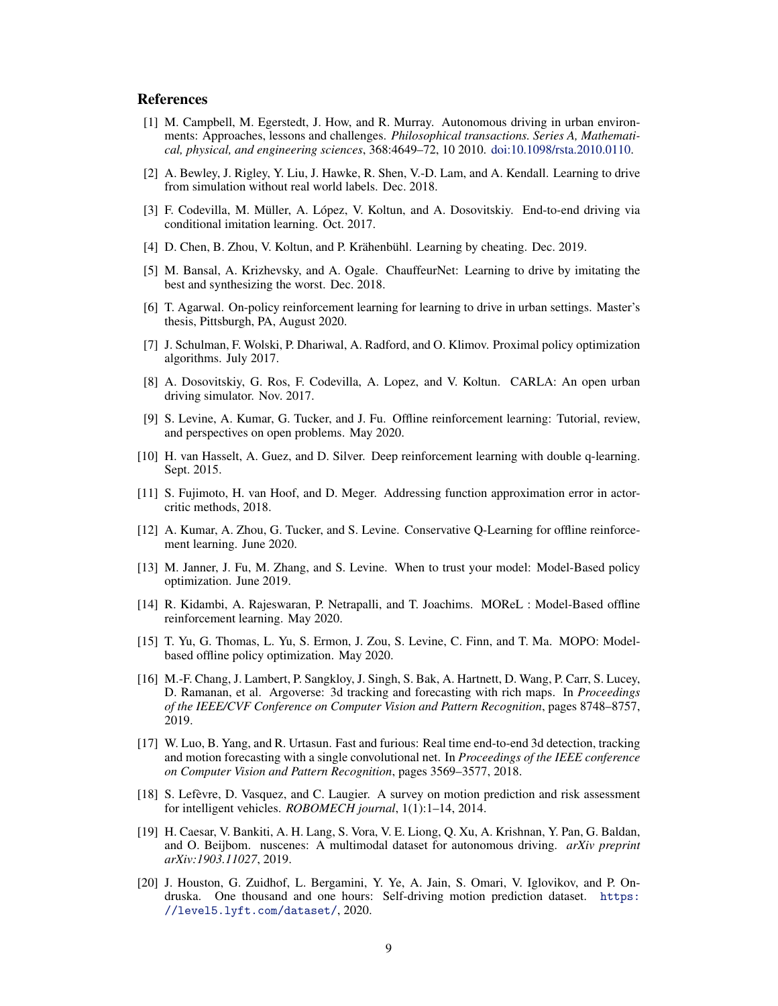## <span id="page-8-0"></span>References

- [1] M. Campbell, M. Egerstedt, J. How, and R. Murray. Autonomous driving in urban environments: Approaches, lessons and challenges. *Philosophical transactions. Series A, Mathematical, physical, and engineering sciences*, 368:4649–72, 10 2010. [doi:10.1098/rsta.2010.0110.](http://dx.doi.org/10.1098/rsta.2010.0110)
- [2] A. Bewley, J. Rigley, Y. Liu, J. Hawke, R. Shen, V.-D. Lam, and A. Kendall. Learning to drive from simulation without real world labels. Dec. 2018.
- [3] F. Codevilla, M. Müller, A. López, V. Koltun, and A. Dosovitskiy. End-to-end driving via conditional imitation learning. Oct. 2017.
- [4] D. Chen, B. Zhou, V. Koltun, and P. Krähenbühl. Learning by cheating. Dec. 2019.
- [5] M. Bansal, A. Krizhevsky, and A. Ogale. ChauffeurNet: Learning to drive by imitating the best and synthesizing the worst. Dec. 2018.
- [6] T. Agarwal. On-policy reinforcement learning for learning to drive in urban settings. Master's thesis, Pittsburgh, PA, August 2020.
- [7] J. Schulman, F. Wolski, P. Dhariwal, A. Radford, and O. Klimov. Proximal policy optimization algorithms. July 2017.
- [8] A. Dosovitskiy, G. Ros, F. Codevilla, A. Lopez, and V. Koltun. CARLA: An open urban driving simulator. Nov. 2017.
- [9] S. Levine, A. Kumar, G. Tucker, and J. Fu. Offline reinforcement learning: Tutorial, review, and perspectives on open problems. May 2020.
- [10] H. van Hasselt, A. Guez, and D. Silver. Deep reinforcement learning with double q-learning. Sept. 2015.
- [11] S. Fujimoto, H. van Hoof, and D. Meger. Addressing function approximation error in actorcritic methods, 2018.
- [12] A. Kumar, A. Zhou, G. Tucker, and S. Levine. Conservative Q-Learning for offline reinforcement learning. June 2020.
- [13] M. Janner, J. Fu, M. Zhang, and S. Levine. When to trust your model: Model-Based policy optimization. June 2019.
- [14] R. Kidambi, A. Rajeswaran, P. Netrapalli, and T. Joachims. MOReL : Model-Based offline reinforcement learning. May 2020.
- [15] T. Yu, G. Thomas, L. Yu, S. Ermon, J. Zou, S. Levine, C. Finn, and T. Ma. MOPO: Modelbased offline policy optimization. May 2020.
- [16] M.-F. Chang, J. Lambert, P. Sangkloy, J. Singh, S. Bak, A. Hartnett, D. Wang, P. Carr, S. Lucey, D. Ramanan, et al. Argoverse: 3d tracking and forecasting with rich maps. In *Proceedings of the IEEE/CVF Conference on Computer Vision and Pattern Recognition*, pages 8748–8757, 2019.
- [17] W. Luo, B. Yang, and R. Urtasun. Fast and furious: Real time end-to-end 3d detection, tracking and motion forecasting with a single convolutional net. In *Proceedings of the IEEE conference on Computer Vision and Pattern Recognition*, pages 3569–3577, 2018.
- [18] S. Lefèvre, D. Vasquez, and C. Laugier. A survey on motion prediction and risk assessment for intelligent vehicles. *ROBOMECH journal*, 1(1):1–14, 2014.
- [19] H. Caesar, V. Bankiti, A. H. Lang, S. Vora, V. E. Liong, Q. Xu, A. Krishnan, Y. Pan, G. Baldan, and O. Beijbom. nuscenes: A multimodal dataset for autonomous driving. *arXiv preprint arXiv:1903.11027*, 2019.
- [20] J. Houston, G. Zuidhof, L. Bergamini, Y. Ye, A. Jain, S. Omari, V. Iglovikov, and P. Ondruska. One thousand and one hours: Self-driving motion prediction dataset. [https:](https://level5.lyft.com/dataset/) [//level5.lyft.com/dataset/](https://level5.lyft.com/dataset/), 2020.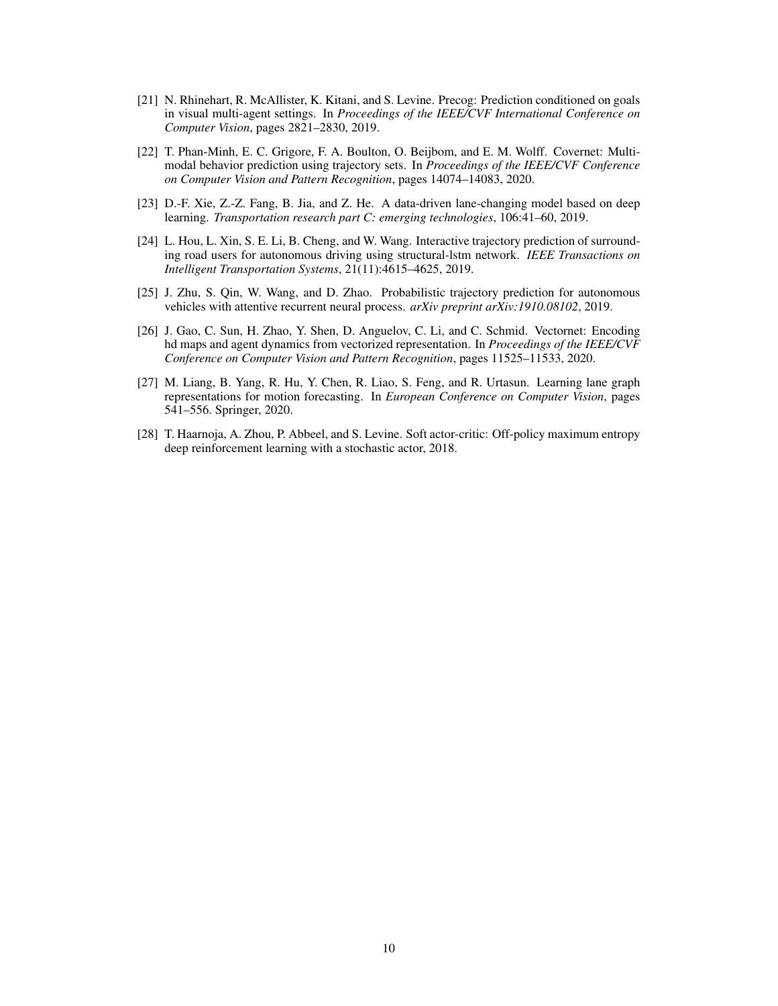- <span id="page-9-0"></span>[21] N. Rhinehart, R. McAllister, K. Kitani, and S. Levine. Precog: Prediction conditioned on goals in visual multi-agent settings. In *Proceedings of the IEEE/CVF International Conference on Computer Vision*, pages 2821–2830, 2019.
- [22] T. Phan-Minh, E. C. Grigore, F. A. Boulton, O. Beijbom, and E. M. Wolff. Covernet: Multimodal behavior prediction using trajectory sets. In *Proceedings of the IEEE/CVF Conference on Computer Vision and Pattern Recognition*, pages 14074–14083, 2020.
- [23] D.-F. Xie, Z.-Z. Fang, B. Jia, and Z. He. A data-driven lane-changing model based on deep learning. *Transportation research part C: emerging technologies*, 106:41–60, 2019.
- [24] L. Hou, L. Xin, S. E. Li, B. Cheng, and W. Wang. Interactive trajectory prediction of surrounding road users for autonomous driving using structural-lstm network. *IEEE Transactions on Intelligent Transportation Systems*, 21(11):4615–4625, 2019.
- [25] J. Zhu, S. Qin, W. Wang, and D. Zhao. Probabilistic trajectory prediction for autonomous vehicles with attentive recurrent neural process. *arXiv preprint arXiv:1910.08102*, 2019.
- [26] J. Gao, C. Sun, H. Zhao, Y. Shen, D. Anguelov, C. Li, and C. Schmid. Vectornet: Encoding hd maps and agent dynamics from vectorized representation. In *Proceedings of the IEEE/CVF Conference on Computer Vision and Pattern Recognition*, pages 11525–11533, 2020.
- [27] M. Liang, B. Yang, R. Hu, Y. Chen, R. Liao, S. Feng, and R. Urtasun. Learning lane graph representations for motion forecasting. In *European Conference on Computer Vision*, pages 541–556. Springer, 2020.
- [28] T. Haarnoja, A. Zhou, P. Abbeel, and S. Levine. Soft actor-critic: Off-policy maximum entropy deep reinforcement learning with a stochastic actor, 2018.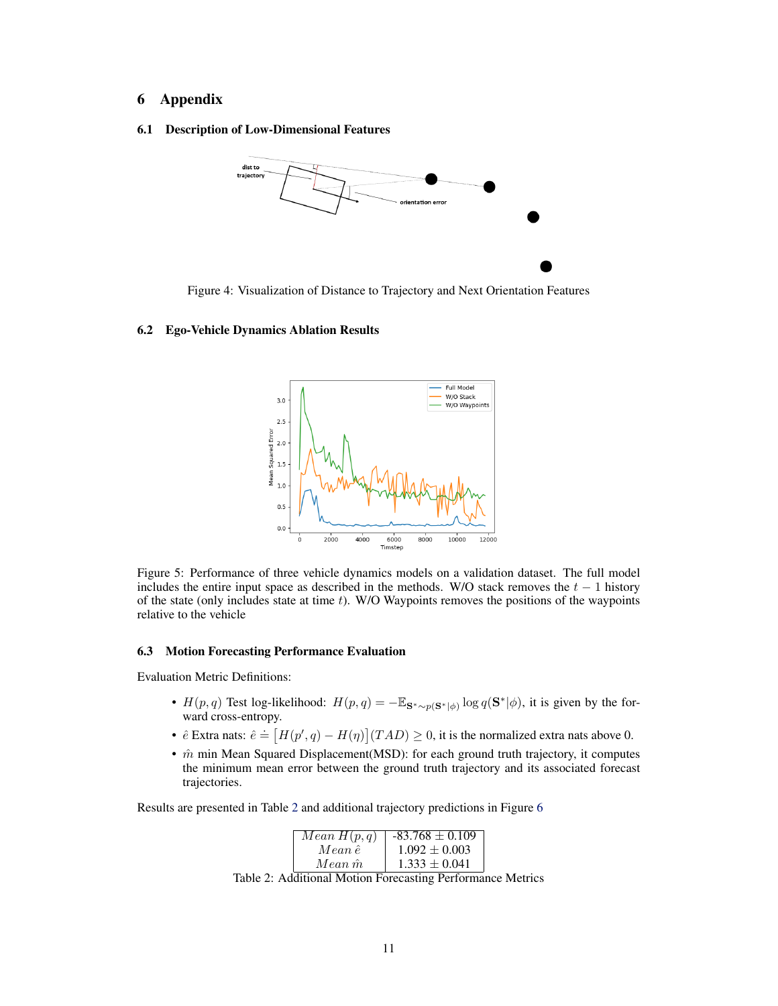# <span id="page-10-0"></span>6 Appendix

6.1 Description of Low-Dimensional Features



Figure 4: Visualization of Distance to Trajectory and Next Orientation Features

## 6.2 Ego-Vehicle Dynamics Ablation Results



Figure 5: Performance of three vehicle dynamics models on a validation dataset. The full model includes the entire input space as described in the methods. W/O stack removes the  $t - 1$  history of the state (only includes state at time  $t$ ). W/O Waypoints removes the positions of the waypoints relative to the vehicle

#### 6.3 Motion Forecasting Performance Evaluation

Evaluation Metric Definitions:

- $H(p,q)$  Test log-likelihood:  $H(p,q) = -\mathbb{E}_{\mathbf{S}^* \sim p(\mathbf{S}^*|\phi)} \log q(\mathbf{S}^*|\phi)$ , it is given by the forward cross-entropy.
- $\hat{e}$  Extra nats:  $\hat{e} = [H(p', q) H(\eta)](TAD) \ge 0$ , it is the normalized extra nats above 0.
- $\hat{m}$  min Mean Squared Displacement(MSD): for each ground truth trajectory, it computes the minimum mean error between the ground truth trajectory and its associated forecast trajectories.

Results are presented in Table 2 and additional trajectory predictions in Figure [6](#page-11-0)

| Mean H(p,q) | $-83.768 \pm 0.109$                                       |  |
|-------------|-----------------------------------------------------------|--|
| Mean ê      | $1.092 \pm 0.003$                                         |  |
| Mean m      | $1.333 \pm 0.041$                                         |  |
|             | Toble 2: Additional Motion Forecasting Performance Metric |  |

Table 2: Additional Motion Forecasting Performance Metrics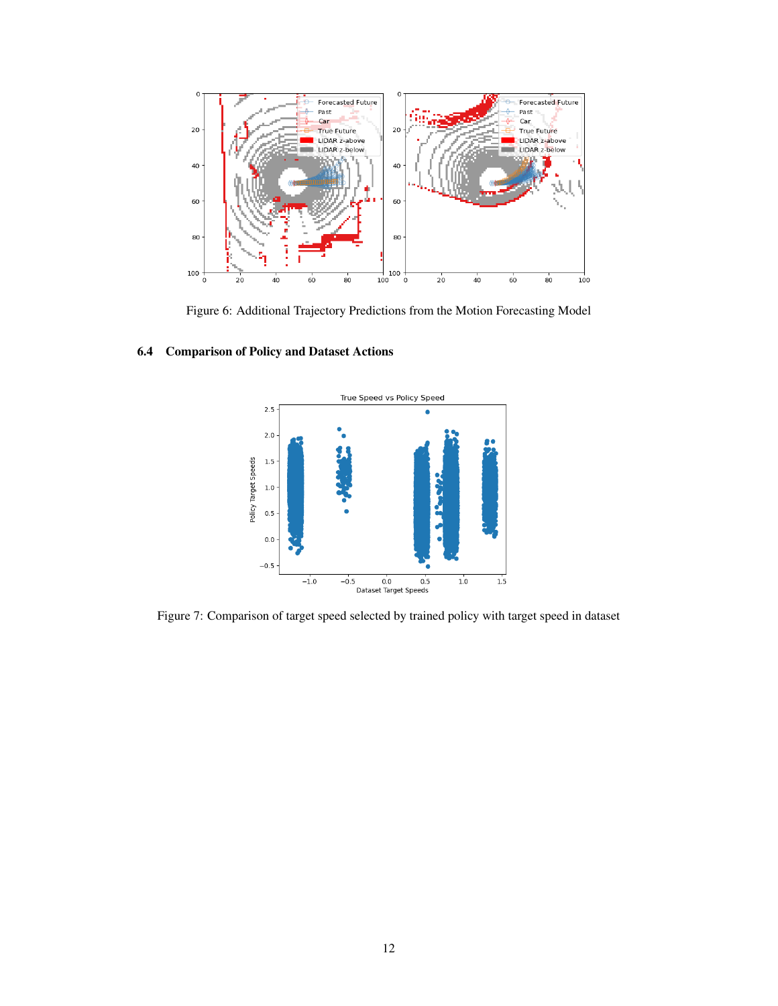<span id="page-11-0"></span>

Figure 6: Additional Trajectory Predictions from the Motion Forecasting Model

# 6.4 Comparison of Policy and Dataset Actions



Figure 7: Comparison of target speed selected by trained policy with target speed in dataset